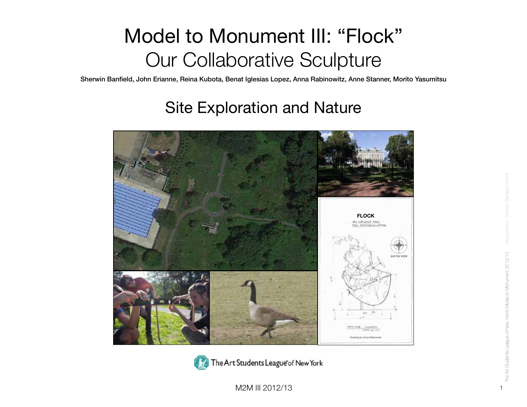Sherwin Banfield, John Erianne, Reina Kubota, Benat Iglesias Lopez, Anna Rabinowitz, Anne Stanner, Morito Yasumitsu

#### Site Exploration and Nature





M2M III 2012/13 1 1 2012/13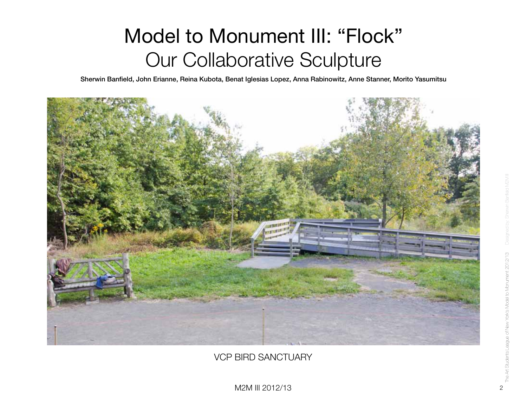Sherwin Banfield, John Erianne, Reina Kubota, Benat Iglesias Lopez, Anna Rabinowitz, Anne Stanner, Morito Yasumitsu



VCP BIRD SANCTUARY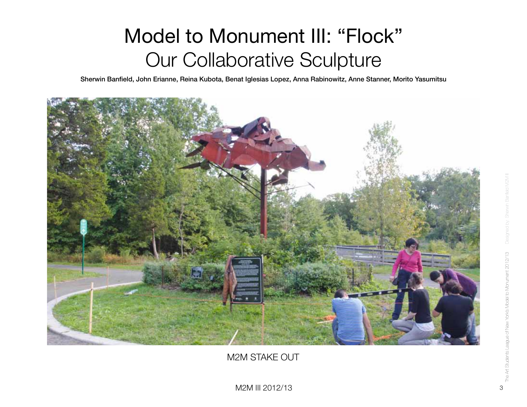Sherwin Banfield, John Erianne, Reina Kubota, Benat Iglesias Lopez, Anna Rabinowitz, Anne Stanner, Morito Yasumitsu



M2M STAKE OUT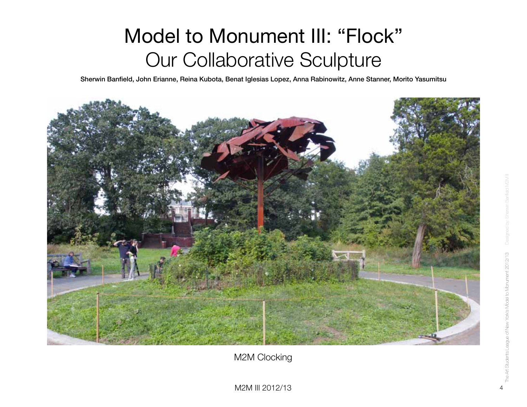Sherwin Banfield, John Erianne, Reina Kubota, Benat Iglesias Lopez, Anna Rabinowitz, Anne Stanner, Morito Yasumitsu



M2M Clocking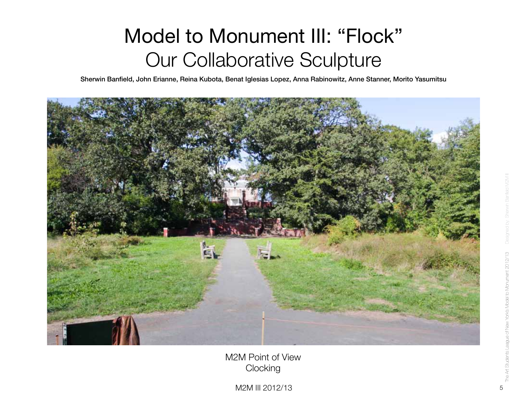Sherwin Banfield, John Erianne, Reina Kubota, Benat Iglesias Lopez, Anna Rabinowitz, Anne Stanner, Morito Yasumitsu